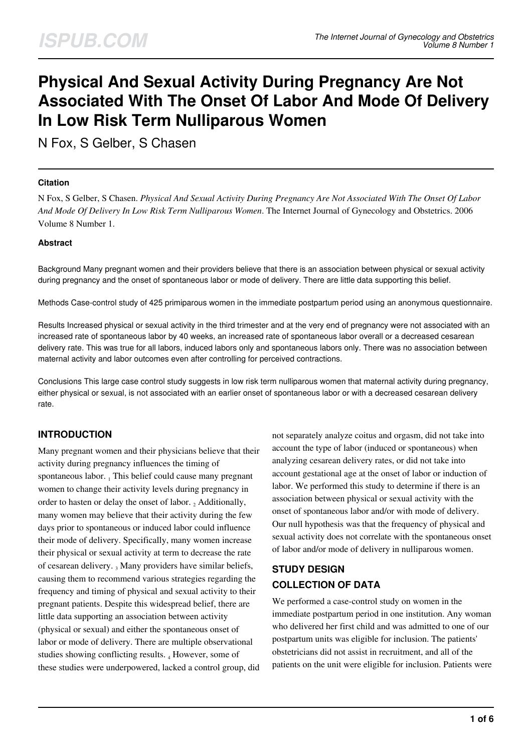# **Physical And Sexual Activity During Pregnancy Are Not Associated With The Onset Of Labor And Mode Of Delivery In Low Risk Term Nulliparous Women**

N Fox, S Gelber, S Chasen

#### **Citation**

N Fox, S Gelber, S Chasen. *Physical And Sexual Activity During Pregnancy Are Not Associated With The Onset Of Labor And Mode Of Delivery In Low Risk Term Nulliparous Women*. The Internet Journal of Gynecology and Obstetrics. 2006 Volume 8 Number 1.

#### **Abstract**

Background Many pregnant women and their providers believe that there is an association between physical or sexual activity during pregnancy and the onset of spontaneous labor or mode of delivery. There are little data supporting this belief.

Methods Case-control study of 425 primiparous women in the immediate postpartum period using an anonymous questionnaire.

Results Increased physical or sexual activity in the third trimester and at the very end of pregnancy were not associated with an increased rate of spontaneous labor by 40 weeks, an increased rate of spontaneous labor overall or a decreased cesarean delivery rate. This was true for all labors, induced labors only and spontaneous labors only. There was no association between maternal activity and labor outcomes even after controlling for perceived contractions.

Conclusions This large case control study suggests in low risk term nulliparous women that maternal activity during pregnancy, either physical or sexual, is not associated with an earlier onset of spontaneous labor or with a decreased cesarean delivery rate.

## **INTRODUCTION**

Many pregnant women and their physicians believe that their activity during pregnancy influences the timing of spontaneous labor. 1 This belief could cause many pregnant women to change their activity levels during pregnancy in order to hasten or delay the onset of labor.  $_2$  Additionally, many women may believe that their activity during the few days prior to spontaneous or induced labor could influence their mode of delivery. Specifically, many women increase their physical or sexual activity at term to decrease the rate of cesarean delivery. 3 Many providers have similar beliefs, causing them to recommend various strategies regarding the frequency and timing of physical and sexual activity to their pregnant patients. Despite this widespread belief, there are little data supporting an association between activity (physical or sexual) and either the spontaneous onset of labor or mode of delivery. There are multiple observational studies showing conflicting results. 4 However, some of these studies were underpowered, lacked a control group, did not separately analyze coitus and orgasm, did not take into account the type of labor (induced or spontaneous) when analyzing cesarean delivery rates, or did not take into account gestational age at the onset of labor or induction of labor. We performed this study to determine if there is an association between physical or sexual activity with the onset of spontaneous labor and/or with mode of delivery. Our null hypothesis was that the frequency of physical and sexual activity does not correlate with the spontaneous onset of labor and/or mode of delivery in nulliparous women.

# **STUDY DESIGN COLLECTION OF DATA**

We performed a case-control study on women in the immediate postpartum period in one institution. Any woman who delivered her first child and was admitted to one of our postpartum units was eligible for inclusion. The patients' obstetricians did not assist in recruitment, and all of the patients on the unit were eligible for inclusion. Patients were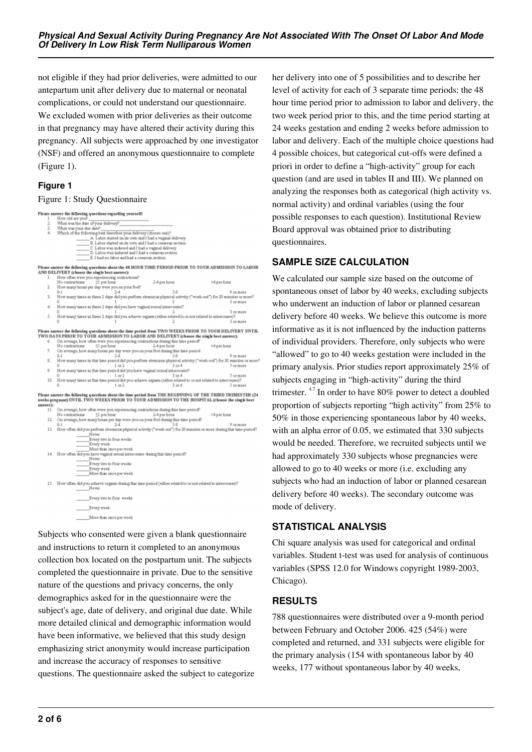not eligible if they had prior deliveries, were admitted to our antepartum unit after delivery due to maternal or neonatal complications, or could not understand our questionnaire. We excluded women with prior deliveries as their outcome in that pregnancy may have altered their activity during this pregnancy. All subjects were approached by one investigator (NSF) and offered an anonymous questionnaire to complete (Figure 1).

#### **Figure 1**

#### Figure 1: Study Questionnaire

|          | Please answer the following questions regarding yourself:                                                              |                |             |
|----------|------------------------------------------------------------------------------------------------------------------------|----------------|-------------|
| 1.       | How old are you?                                                                                                       |                |             |
| 2.<br>3. | What was the date of your delivery?                                                                                    |                |             |
| 4.       | What was your due date?                                                                                                |                |             |
|          | Which of the following best describes your delivery (choose one)?                                                      |                |             |
|          | A. Labor started on its own and I had a vaginal delivery                                                               |                |             |
|          | B. Labor started on its own and I had a cesarean section                                                               |                |             |
|          | C. Labor was induced and I had a vaginal delivery                                                                      |                |             |
|          | D. Labor was induced and I had a cesarem section                                                                       |                |             |
|          | E. I had no labor and had a cesarean section.                                                                          |                |             |
|          | Please answer the following questions about the 48 HOUR TIME PERIOD PRIOR TO YOUR ADMISSION TO LABOE                   |                |             |
|          | AND DELIVERY (choose the single hest answer):                                                                          |                |             |
| 1.       | How often were you experiencing contractions?                                                                          |                |             |
|          | No contractions<br>$\leq 1$ per hour                                                                                   | 2-4 per hour   | >4 per hour |
| 2.       | How many hours per day were you on your feet?                                                                          |                |             |
|          | $0 - 1$<br>2.4                                                                                                         | $5-8$          | 9 or more   |
| 3.       | How many times in these 2 days did you perform strenuous physical activity ("work-out") for 20 minutes or more?        |                |             |
|          |                                                                                                                        |                | 3 or more   |
| 4.       | How many times in these 2 days did you have vaginal sexual intercourse?                                                |                |             |
|          |                                                                                                                        |                | 3 or more   |
| 5.       | How many times in these 2 days did you achieve orgasm (either related to or not related to interrourse)?               |                |             |
|          |                                                                                                                        | $\overline{2}$ | 3 or more   |
|          |                                                                                                                        |                |             |
|          | Please answer the following questions about the time period from TWO WEEKS PRIOR TO YOUR DELIVERY UNTII                |                |             |
|          | TWO DAYS PRIOR TO YOUR ADMISSION TO LABOR AND DELIVERY (choose the single best answer):                                |                |             |
| б.       | On average, how often were you experiencing contractions during this time period?                                      |                |             |
|          | $≤1$ per hour<br>No contractions                                                                                       | 2-4 per hour   | >4 per hour |
| 7.       | On average, how many hours per day were you on your feet during this time period                                       |                |             |
|          | 2.4<br>$0 - 1$                                                                                                         | 5.8            | 9 or more   |
| 8.       | How many times in this time period did you perform strenuous physical activity ("work-ouf") for 20 minutes or more     |                |             |
|          | $1$ or $2$                                                                                                             | $3$ or $4$     | 5 or more   |
|          |                                                                                                                        |                |             |
| 9.       | How many times in this time period did you have vaginal sexual intercourse?                                            |                |             |
|          | $1$ or $2$                                                                                                             | $3$ or $4$     | 5 or more   |
|          | 10. How many times in this time period did you achieve orgasm (either related to or not related to intercourse)?       |                |             |
|          | $1$ or $2$                                                                                                             | $3$ or $4$     | 5 or more   |
|          | Please answer the following questions about the time period from THE BEGINNING OF THE THIRD TRIMESTER (24              |                |             |
|          | weeks pregnant) UNTIL TWO WEEKS PRIOR TO YOUR ADMISSION TO THE HOSPITAL (choose the single hest                        |                |             |
| answer): |                                                                                                                        |                |             |
| 11.      | On average, how often were you experiencing contractions during this time period?                                      |                |             |
|          | No contractions<br>$≤1$ per hour                                                                                       | 2-4 per hour   | >4 per hour |
| 12.      | On average, how many hours per day were you on your feet during this time period?                                      |                |             |
|          | $0 - 1$<br>2.4                                                                                                         | 5.8            | 9 or more   |
|          | 13. How often did you perform stremaous physical activity ("work-out") for 20 minutes or more during this time period? |                |             |
|          | Never                                                                                                                  |                |             |
|          |                                                                                                                        |                |             |
|          | Every two to four weeks                                                                                                |                |             |
|          | Every week                                                                                                             |                |             |
|          | More than once per week                                                                                                |                |             |
|          | 14. How often did you have vaginal sexual intercourse during this time period?                                         |                |             |
|          | Never                                                                                                                  |                |             |
|          | Every two to four weeks                                                                                                |                |             |
|          | Every week                                                                                                             |                |             |
|          | More than once per week                                                                                                |                |             |
|          |                                                                                                                        |                |             |
|          | 15. How often did you adhieve orgasm during this time period (either related to or not related to intercourse)?        |                |             |
|          | Never                                                                                                                  |                |             |
|          |                                                                                                                        |                |             |
|          | Every two to four weeks                                                                                                |                |             |
|          |                                                                                                                        |                |             |
|          | Every week                                                                                                             |                |             |
|          |                                                                                                                        |                |             |
|          | More than once per week                                                                                                |                |             |
|          |                                                                                                                        |                |             |
|          |                                                                                                                        |                |             |

Subjects who consented were given a blank questionnaire and instructions to return it completed to an anonymous collection box located on the postpartum unit. The subjects completed the questionnaire in private. Due to the sensitive nature of the questions and privacy concerns, the only demographics asked for in the questionnaire were the subject's age, date of delivery, and original due date. While more detailed clinical and demographic information would have been informative, we believed that this study design emphasizing strict anonymity would increase participation and increase the accuracy of responses to sensitive questions. The questionnaire asked the subject to categorize her delivery into one of 5 possibilities and to describe her level of activity for each of 3 separate time periods: the 48 hour time period prior to admission to labor and delivery, the two week period prior to this, and the time period starting at 24 weeks gestation and ending 2 weeks before admission to labor and delivery. Each of the multiple choice questions had 4 possible choices, but categorical cut-offs were defined a priori in order to define a "high-activity" group for each question (and are used in tables II and III). We planned on analyzing the responses both as categorical (high activity vs. normal activity) and ordinal variables (using the four possible responses to each question). Institutional Review Board approval was obtained prior to distributing questionnaires.

## **SAMPLE SIZE CALCULATION**

We calculated our sample size based on the outcome of spontaneous onset of labor by 40 weeks, excluding subjects who underwent an induction of labor or planned cesarean delivery before 40 weeks. We believe this outcome is more informative as it is not influenced by the induction patterns of individual providers. Therefore, only subjects who were "allowed" to go to 40 weeks gestation were included in the primary analysis. Prior studies report approximately 25% of subjects engaging in "high-activity" during the third trimester.  $4.7$  In order to have 80% power to detect a doubled proportion of subjects reporting "high activity" from 25% to 50% in those experiencing spontaneous labor by 40 weeks, with an alpha error of 0.05, we estimated that 330 subjects would be needed. Therefore, we recruited subjects until we had approximately 330 subjects whose pregnancies were allowed to go to 40 weeks or more (i.e. excluding any subjects who had an induction of labor or planned cesarean delivery before 40 weeks). The secondary outcome was mode of delivery.

## **STATISTICAL ANALYSIS**

Chi square analysis was used for categorical and ordinal variables. Student t-test was used for analysis of continuous variables (SPSS 12.0 for Windows copyright 1989-2003, Chicago).

## **RESULTS**

788 questionnaires were distributed over a 9-month period between February and October 2006. 425 (54%) were completed and returned, and 331 subjects were eligible for the primary analysis (154 with spontaneous labor by 40 weeks, 177 without spontaneous labor by 40 weeks,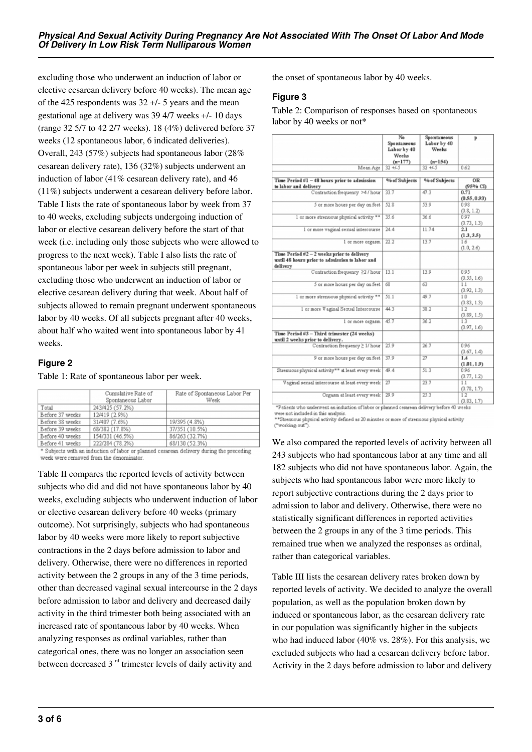excluding those who underwent an induction of labor or elective cesarean delivery before 40 weeks). The mean age of the 425 respondents was 32 +/- 5 years and the mean gestational age at delivery was 39 4/7 weeks +/- 10 days (range 32 5/7 to 42 2/7 weeks). 18 (4%) delivered before 37 weeks (12 spontaneous labor, 6 indicated deliveries). Overall, 243 (57%) subjects had spontaneous labor (28% cesarean delivery rate), 136 (32%) subjects underwent an induction of labor (41% cesarean delivery rate), and 46 (11%) subjects underwent a cesarean delivery before labor. Table I lists the rate of spontaneous labor by week from 37 to 40 weeks, excluding subjects undergoing induction of labor or elective cesarean delivery before the start of that week (i.e. including only those subjects who were allowed to progress to the next week). Table I also lists the rate of spontaneous labor per week in subjects still pregnant, excluding those who underwent an induction of labor or elective cesarean delivery during that week. About half of subjects allowed to remain pregnant underwent spontaneous labor by 40 weeks. Of all subjects pregnant after 40 weeks, about half who waited went into spontaneous labor by 41 weeks.

## **Figure 2**

Table 1: Rate of spontaneous labor per week.

|                 | Cumulative Rate of<br>Spontaneous Labor | Rate of Spontaneous Labor Per<br>Week |
|-----------------|-----------------------------------------|---------------------------------------|
| Total           | 243/425 (57.2%)                         |                                       |
| Before 37 weeks | 12/419 (2.9%)                           |                                       |
| Before 38 weeks | 31/407 (7.6%)                           | 19/395 (4.8%)                         |
| Before 39 weeks | 68/382 (17.8%)                          | 37/351 (10.5%)                        |
| Before 40 weeks | 154/331 (46.5%)                         | 86/263 (32.7%)                        |
| Before 41 weeks | 222/284 (78.2%)                         | 68/130 (52.3%)                        |

Subjects with an induction of labor or planned cesarean delivery during the preceding week were removed from the denominator

Table II compares the reported levels of activity between subjects who did and did not have spontaneous labor by 40 weeks, excluding subjects who underwent induction of labor or elective cesarean delivery before 40 weeks (primary outcome). Not surprisingly, subjects who had spontaneous labor by 40 weeks were more likely to report subjective contractions in the 2 days before admission to labor and delivery. Otherwise, there were no differences in reported activity between the 2 groups in any of the 3 time periods, other than decreased vaginal sexual intercourse in the 2 days before admission to labor and delivery and decreased daily activity in the third trimester both being associated with an increased rate of spontaneous labor by 40 weeks. When analyzing responses as ordinal variables, rather than categorical ones, there was no longer an association seen between decreased  $3<sup>rd</sup>$  trimester levels of daily activity and

the onset of spontaneous labor by 40 weeks.

#### **Figure 3**

Table 2: Comparison of responses based on spontaneous labor by 40 weeks or not\*

|                                                   | No                 | Spontaneous   | $\mathbf{p}$ |  |
|---------------------------------------------------|--------------------|---------------|--------------|--|
|                                                   | <b>Spontaneous</b> | Labor by 40   |              |  |
|                                                   | Labor by 40        | Weeks         |              |  |
|                                                   | Weelss             |               |              |  |
|                                                   | $(n=177)$          | $(n=1.54)$    |              |  |
| Mean Age                                          | $32 + 1.5$         | $32 + 1.5$    | 0.62         |  |
|                                                   |                    |               |              |  |
| Time Period #1 - 48 hours prior to admission      | % of Subjects      | % of Subjects | OR           |  |
| to labor and delivery                             |                    |               | (95% CD)     |  |
| Contraction frequency >4/hour                     | 33.7               | 47.3          | 0.71         |  |
|                                                   |                    |               | (0.55, 0.93) |  |
|                                                   | 52.8               | 53.9          | 0.98         |  |
| 5 or more hours per day on feet                   |                    |               |              |  |
|                                                   |                    |               | (0.8, 1.2)   |  |
| 1 or more strenuous physical activity **          | 35.6               | 36.6          | 0.97         |  |
|                                                   |                    |               | (0.73, 1.3)  |  |
| 1 or more vaginal sexual intercourse              | 24.4               | 11.74         | 2.1          |  |
|                                                   |                    |               | (13, 35)     |  |
| 1 or more orgasm                                  | 22.2               | 13.7          | 1.6          |  |
|                                                   |                    |               | (1.0, 2.6)   |  |
| Time Period #2 – 2 weeks prior to delivery        |                    |               |              |  |
| until 48 hours prior to admission to labor and    |                    |               |              |  |
| delivery                                          |                    |               |              |  |
| Contraction frequency ≥2 / hour                   | 13.1               | 13.9          | 0.95         |  |
|                                                   |                    |               | (0.55, 1.6)  |  |
| 5 or more hours per day on feet                   | 68                 | 63            | 1.1          |  |
|                                                   |                    |               |              |  |
|                                                   |                    |               | (0.92, 1.3)  |  |
| 1 or more strenuous physical activity **          | 51.1               | 49.7          | 1.0          |  |
|                                                   |                    |               | (0.83, 1.3)  |  |
| 1 or more Vaginal Sexual Intercourse              | 44.3               | 38.2          | 1.2          |  |
|                                                   |                    |               | (0.89, 1.5)  |  |
| 1 or more orgasm                                  | 45.7               | 36.2          | 13           |  |
|                                                   |                    |               | (0.97, 1.6)  |  |
| Time Period #3 - Third trimester (24 weeks)       |                    |               |              |  |
| until 2 weeks prior to delivery.                  |                    |               |              |  |
| Contraction frequency ≥ 1/ hour                   | 25.9               | 26.7          | 0.96         |  |
|                                                   |                    |               | (0.67, 1.4)  |  |
| 9 or more hours per day on feet                   | 37.9               | 27            | 1.4          |  |
|                                                   |                    |               | (1.01, 1.9)  |  |
| Strenuous physical activity** at least every week | 49.4               | 51.3          | 0.96         |  |
|                                                   |                    |               |              |  |
|                                                   |                    | 23.7          | (0.77, 1.2)  |  |
| Vaginal sexual intercourse at least every week    | $\overline{27}$    |               | 1.1          |  |
|                                                   |                    |               | (0.78, 1.7)  |  |
| Orgasm at least every week                        | 29.9               | 25.3          | 1.2          |  |
|                                                   |                    |               | (0.83, 1.7)  |  |

\*Patients who underwent an induction of labor or planned cesarean delivery before 40 weeks

were not included in this analysis.<br>Were not included in this analysis.<br>\*\*Stremuous physical activity defined as 20 minutes or more of stremuous physical activity ("working-out")

We also compared the reported levels of activity between all 243 subjects who had spontaneous labor at any time and all 182 subjects who did not have spontaneous labor. Again, the subjects who had spontaneous labor were more likely to report subjective contractions during the 2 days prior to admission to labor and delivery. Otherwise, there were no statistically significant differences in reported activities between the 2 groups in any of the 3 time periods. This remained true when we analyzed the responses as ordinal, rather than categorical variables.

Table III lists the cesarean delivery rates broken down by reported levels of activity. We decided to analyze the overall population, as well as the population broken down by induced or spontaneous labor, as the cesarean delivery rate in our population was significantly higher in the subjects who had induced labor (40% vs. 28%). For this analysis, we excluded subjects who had a cesarean delivery before labor. Activity in the 2 days before admission to labor and delivery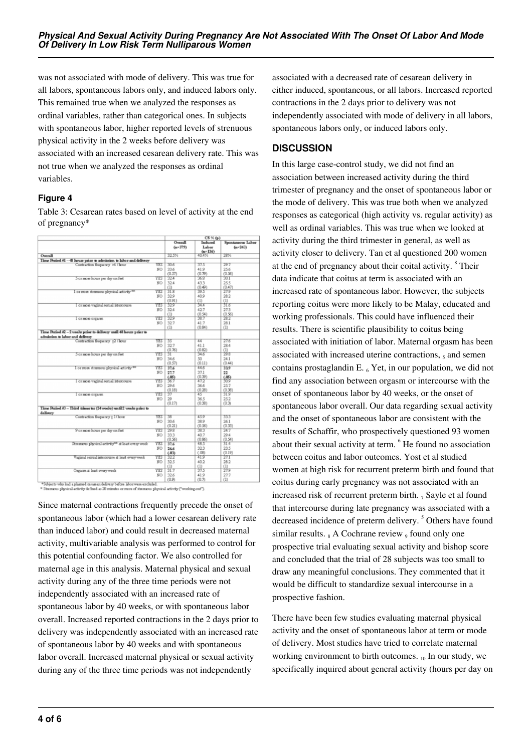was not associated with mode of delivery. This was true for all labors, spontaneous labors only, and induced labors only. This remained true when we analyzed the responses as ordinal variables, rather than categorical ones. In subjects with spontaneous labor, higher reported levels of strenuous physical activity in the 2 weeks before delivery was associated with an increased cesarean delivery rate. This was not true when we analyzed the responses as ordinal variables.

## **Figure 4**

Table 3: Cesarean rates based on level of activity at the end of pregnancy\*

|                                                                    |     | $CS \times (p)$        |                               |                                  |
|--------------------------------------------------------------------|-----|------------------------|-------------------------------|----------------------------------|
|                                                                    |     | Overall<br>$6n = 3791$ | Induced<br>Labor<br>$(n-136)$ | Spontaneous Labor<br>$(n = 243)$ |
| Overall                                                            |     | 32.5%                  | 40.4%                         | 28%                              |
| Time Period 41 - 48 hours prior to admission to labor and delivery |     |                        |                               |                                  |
| Contraction frequency >4 / hour                                    | YES | 30.6                   | 37.5                          | 29.7                             |
|                                                                    | NO  | 33.6                   | 41.9                          | 25.6                             |
|                                                                    |     | (0.57)                 | (0.79)                        | (0.56)                           |
| 5 or more hours per day on feet                                    | YES | 324                    | 368                           | 30.T                             |
|                                                                    | NO  | 32.4                   | 433                           | 25.5                             |
|                                                                    |     | Œ                      | (0.49)                        | (0.47)                           |
| I or more stressores physical activity **                          | YES | 318                    | 39.5                          | 27.9                             |
|                                                                    | NO  | 329                    | 40.9                          | 28.2                             |
|                                                                    |     | (0.91)                 | (1)                           | (1)                              |
| or more vaginal sensal intercourse                                 | YES | 329                    | 34.4                          | 31.6                             |
|                                                                    | NO  | 32.4                   | 427                           | 27.3                             |
|                                                                    |     | (1)                    | (0.54)                        | (0.56)                           |
| I or more orgasm                                                   | YES | 329                    | 38.7                          | 28.2                             |
|                                                                    | NO  | 32.7                   | 41.7                          | 28.1                             |
|                                                                    |     | (1)                    | (0.84)                        | (D)                              |
| Time Period #2 - 2 weeks prior to delivery until 48 hours prior to |     |                        |                               |                                  |
| admission to labor and delivery                                    |     |                        |                               |                                  |
| Contraction frequency >2 / hour                                    | YES | 35                     | 44                            | 27.6                             |
|                                                                    | NO  | 32.7                   | 41.1                          | 28.4                             |
|                                                                    |     | (0.76)                 | (0.82)                        | (1)                              |
| Sor more hours per day on feet                                     | YES | ĪĒ                     | 34.6                          | 29.8                             |
|                                                                    | NO  | 34.6                   | 50                            | 241                              |
|                                                                    |     | (0.57)                 | (0.11)                        | (0.44)                           |
| I or more stressious physical activity **                          | YES | 37.6                   | 44.6                          | 339                              |
|                                                                    | NO  | 27.7                   | 37.1                          | 22                               |
|                                                                    |     | (.05)                  | (0.39)                        |                                  |
| I or more vaginal sexual istescourse                               | YES | 36.7                   | 47.2                          | 鏓                                |
|                                                                    | NO  | 29.6                   | 36.6                          | 25.7                             |
|                                                                    |     | (0.18)                 | (0.28)                        | (0.38)                           |
| I or more orgarm                                                   | YES | 37                     | ৰত                            | 31.9                             |
|                                                                    | NO  | 29                     | 36.5                          | 25.2                             |
|                                                                    |     | (0.17)                 | (0.38)                        | (0.3)                            |
| Time Period #3 - Third trimester (24 weeks) until 2 weeks prior to |     |                        |                               |                                  |
| delivery                                                           |     |                        |                               |                                  |
| Contraction frequency > 1/hour                                     | YES | 38                     | 459                           | 333                              |
|                                                                    | NO  | 30.6                   | 38.9                          | 26.1                             |
|                                                                    |     | (0.21)                 | (0.56)                        | (0.33)                           |
| 9 or more hours per day on feet                                    | YES | 29.8                   | 383                           | 24.7                             |
|                                                                    | NO  | 333                    | 40.7                          | 29.4                             |
|                                                                    |     | (0.56)                 | (0.86)                        | (0.54)                           |
| Stremous physical activity <sup>ne</sup> at least every week       | YES | 37.6                   | 48.5                          | 31.4                             |
|                                                                    | NO  | 26.6                   | 323                           | 23.5                             |
|                                                                    |     | (.03)                  | (.08)                         | (0.19)                           |
| Vaginal semal intercourse at least every week                      | YES | 32.2                   | 419                           | 27.1                             |
|                                                                    | NO  | 32.5                   | 40.2                          | 28.2                             |
|                                                                    |     | (1)                    | (1)                           | m                                |
| Orgases at least every week                                        | YES | N.7                    | 37.5                          | 27.9                             |
|                                                                    | NO  | 326                    | 41.9                          | 27.7                             |
|                                                                    |     | (0.9)                  | (0.7)                         | (1)                              |

fichiects who had a plasmed cesarean delivery before labor were excluded.<br>Internacia physical activity defined as 20 minutes or more of strenuous physical activity ("working-out").

Since maternal contractions frequently precede the onset of spontaneous labor (which had a lower cesarean delivery rate than induced labor) and could result in decreased maternal activity, multivariable analysis was performed to control for this potential confounding factor. We also controlled for maternal age in this analysis. Maternal physical and sexual activity during any of the three time periods were not independently associated with an increased rate of spontaneous labor by 40 weeks, or with spontaneous labor overall. Increased reported contractions in the 2 days prior to delivery was independently associated with an increased rate of spontaneous labor by 40 weeks and with spontaneous labor overall. Increased maternal physical or sexual activity during any of the three time periods was not independently

associated with a decreased rate of cesarean delivery in either induced, spontaneous, or all labors. Increased reported contractions in the 2 days prior to delivery was not independently associated with mode of delivery in all labors, spontaneous labors only, or induced labors only.

## **DISCUSSION**

In this large case-control study, we did not find an association between increased activity during the third trimester of pregnancy and the onset of spontaneous labor or the mode of delivery. This was true both when we analyzed responses as categorical (high activity vs. regular activity) as well as ordinal variables. This was true when we looked at activity during the third trimester in general, as well as activity closer to delivery. Tan et al questioned 200 women at the end of pregnancy about their coital activity. <sup>8</sup> Their data indicate that coitus at term is associated with an increased rate of spontaneous labor. However, the subjects reporting coitus were more likely to be Malay, educated and working professionals. This could have influenced their results. There is scientific plausibility to coitus being associated with initiation of labor. Maternal orgasm has been associated with increased uterine contractions,  $<sub>5</sub>$  and semen</sub> contains prostaglandin E.  $_6$  Yet, in our population, we did not find any association between orgasm or intercourse with the onset of spontaneous labor by 40 weeks, or the onset of spontaneous labor overall. Our data regarding sexual activity and the onset of spontaneous labor are consistent with the results of Schaffir, who prospectively questioned 93 women about their sexual activity at term. <sup>6</sup> He found no association between coitus and labor outcomes. Yost et al studied women at high risk for recurrent preterm birth and found that coitus during early pregnancy was not associated with an increased risk of recurrent preterm birth.  $_7$  Sayle et al found that intercourse during late pregnancy was associated with a decreased incidence of preterm delivery.<sup>5</sup> Others have found similar results.  $_8$  A Cochrane review  $_9$  found only one prospective trial evaluating sexual activity and bishop score and concluded that the trial of 28 subjects was too small to draw any meaningful conclusions. They commented that it would be difficult to standardize sexual intercourse in a prospective fashion.

There have been few studies evaluating maternal physical activity and the onset of spontaneous labor at term or mode of delivery. Most studies have tried to correlate maternal working environment to birth outcomes.  $_{10}$  In our study, we specifically inquired about general activity (hours per day on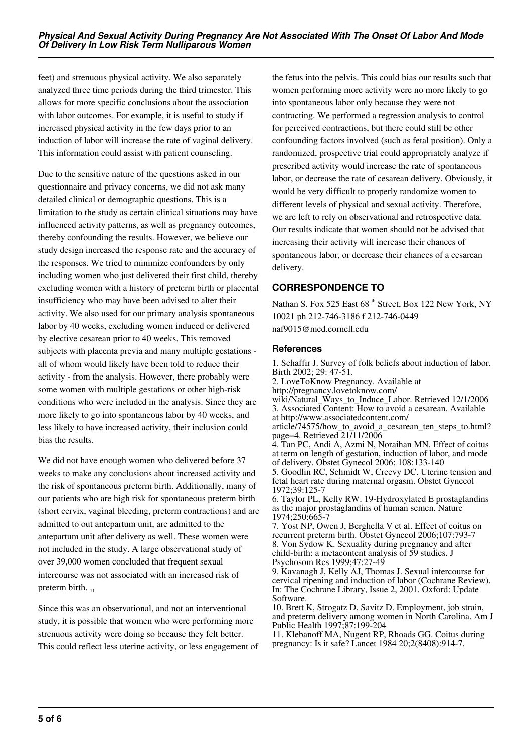feet) and strenuous physical activity. We also separately analyzed three time periods during the third trimester. This allows for more specific conclusions about the association with labor outcomes. For example, it is useful to study if increased physical activity in the few days prior to an induction of labor will increase the rate of vaginal delivery. This information could assist with patient counseling.

Due to the sensitive nature of the questions asked in our questionnaire and privacy concerns, we did not ask many detailed clinical or demographic questions. This is a limitation to the study as certain clinical situations may have influenced activity patterns, as well as pregnancy outcomes, thereby confounding the results. However, we believe our study design increased the response rate and the accuracy of the responses. We tried to minimize confounders by only including women who just delivered their first child, thereby excluding women with a history of preterm birth or placental insufficiency who may have been advised to alter their activity. We also used for our primary analysis spontaneous labor by 40 weeks, excluding women induced or delivered by elective cesarean prior to 40 weeks. This removed subjects with placenta previa and many multiple gestations all of whom would likely have been told to reduce their activity - from the analysis. However, there probably were some women with multiple gestations or other high-risk conditions who were included in the analysis. Since they are more likely to go into spontaneous labor by 40 weeks, and less likely to have increased activity, their inclusion could bias the results.

We did not have enough women who delivered before 37 weeks to make any conclusions about increased activity and the risk of spontaneous preterm birth. Additionally, many of our patients who are high risk for spontaneous preterm birth (short cervix, vaginal bleeding, preterm contractions) and are admitted to out antepartum unit, are admitted to the antepartum unit after delivery as well. These women were not included in the study. A large observational study of over 39,000 women concluded that frequent sexual intercourse was not associated with an increased risk of preterm birth.  $_{11}$ 

Since this was an observational, and not an interventional study, it is possible that women who were performing more strenuous activity were doing so because they felt better. This could reflect less uterine activity, or less engagement of

the fetus into the pelvis. This could bias our results such that women performing more activity were no more likely to go into spontaneous labor only because they were not contracting. We performed a regression analysis to control for perceived contractions, but there could still be other confounding factors involved (such as fetal position). Only a randomized, prospective trial could appropriately analyze if prescribed activity would increase the rate of spontaneous labor, or decrease the rate of cesarean delivery. Obviously, it would be very difficult to properly randomize women to different levels of physical and sexual activity. Therefore, we are left to rely on observational and retrospective data. Our results indicate that women should not be advised that increasing their activity will increase their chances of spontaneous labor, or decrease their chances of a cesarean delivery.

# **CORRESPONDENCE TO**

Nathan S. Fox 525 East 68<sup>th</sup> Street, Box 122 New York, NY 10021 ph 212-746-3186 f 212-746-0449 naf9015@med.cornell.edu

#### **References**

1. Schaffir J. Survey of folk beliefs about induction of labor. Birth 2002; 29: 47-51. 2. LoveToKnow Pregnancy. Available at

http://pregnancy.lovetoknow.com/

wiki/Natural\_Ways\_to\_Induce\_Labor. Retrieved 12/1/2006 3. Associated Content: How to avoid a cesarean. Available at http://www.associatedcontent.com/

article/74575/how\_to\_avoid\_a\_cesarean\_ten\_steps\_to.html? page=4. Retrieved 21/11/2006

4. Tan PC, Andi A, Azmi N, Noraihan MN. Effect of coitus at term on length of gestation, induction of labor, and mode of delivery. Obstet Gynecol 2006; 108:133-140

5. Goodlin RC, Schmidt W, Creevy DC. Uterine tension and fetal heart rate during maternal orgasm. Obstet Gynecol 1972;39:125-7

6. Taylor PL, Kelly RW. 19-Hydroxylated E prostaglandins as the major prostaglandins of human semen. Nature 1974;250:665-7

7. Yost NP, Owen J, Berghella V et al. Effect of coitus on recurrent preterm birth. Obstet Gynecol 2006;107:793-7 8. Von Sydow K. Sexuality during pregnancy and after child-birth: a metacontent analysis of 59 studies. J Psychosom Res 1999;47:27-49

9. Kavanagh J, Kelly AJ, Thomas J. Sexual intercourse for cervical ripening and induction of labor (Cochrane Review). In: The Cochrane Library, Issue 2, 2001. Oxford: Update Software.

10. Brett K, Strogatz D, Savitz D. Employment, job strain, and preterm delivery among women in North Carolina. Am J Public Health 1997;87:199-204

11. Klebanoff MA, Nugent RP, Rhoads GG. Coitus during pregnancy: Is it safe? Lancet 1984 20;2(8408):914-7.